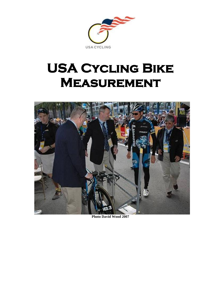

# **USA Cycling Bike Measurement**



**Photo David Wood 2007**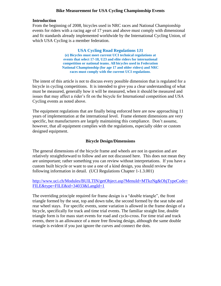# **Bike Measurement for USA Cycling Championship Events**

## **Introduction**

From the beginning of 2008, bicycles used in NRC races and National Championship events for riders with a racing age of 17 years and above must comply with dimensional and fit standards already implemented worldwide by the International Cycling Union, of which USA Cycling is a member federation.

> **USA Cycling Road Regulations 1J1 (e) Bicycles must meet current UCI technical regulations at events that select 17-18, U23 and elite riders for international competition or national teams. All bicycles used in Federation National Championship (for age 17 and older riders) and NRC races must comply with the current UCI regulations**.

The intent of this article is not to discuss every possible dimension that is regulated for a bicycle in cycling competitions. It is intended to give you a clear understanding of what must be measured, generally how it will be measured, when it should be measured and issues that may affect a rider's fit on the bicycle for International competition and USA Cycling events as noted above.

The equipment regulations that are finally being enforced here are now approaching 11 years of implementation at the international level. Frame element dimensions are very specific, but manufacturers are largely maintaining this compliance. Don't assume, however, that all equipment complies with the regulations, especially older or custom designed equipment.

# **Bicycle Design/Dimensions**

The general dimensions of the bicycle frame and wheels are not in question and are relatively straightforward to follow and are not discussed here. This does not mean they are unimportant; rather something you can review without interpretations. If you have a custom built bicycle or want to use a one of a kind design, you should review the following information in detail. (UCI Regulations Chapter 1-1.3.001)

# [http://www.uci.ch/Modules/BUILTIN/getObject.asp?MenuId=MTkzNg&ObjTypeCode=](http://www.uci.ch/Modules/BUILTIN/getObject.asp?MenuId=MTkzNg&ObjTypeCode=FILE&type=FILE&id=34033&LangId=1) [FILE&type=FILE&id=34033&LangId=1](http://www.uci.ch/Modules/BUILTIN/getObject.asp?MenuId=MTkzNg&ObjTypeCode=FILE&type=FILE&id=34033&LangId=1)

The overriding principle required for frame design is a "double triangle", the front triangle formed by the seat, top and down tube, the second formed by the seat tube and rear wheel stays. For specific events, some variation is allowed in the frame design of a bicycle, specifically for track and time trial events. The familiar straight line, double triangle form is for mass start events for road and cyclo-cross. For time trial and track events, there is an allowance of a more free flowing design, although the same double triangle is evident if you just ignore the curves and connect the dots.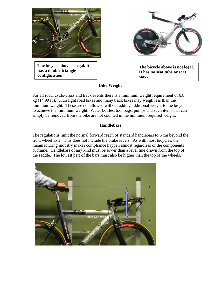

**The bicycle above is legal. It has a double triangle configuration.**

**The bicycle above is not legal. It has no seat tube or seat stays**.

# **Bike Weight**

For all road, cyclo-cross and track events there is a minimum weight requirement of 6.8 kg (14.99 lb). Ultra light road bikes and many track bikes may weigh less than the minimum weight. These are not allowed without adding additional weight to the bicycle to achieve the minimum weight. Water bottles, tool bags, pumps and such items that can simply be removed from the bike are not counted in the minimum required weight.

# **Handlebars**

The regulations limit the normal forward reach of standard handlebars to 5 cm beyond the front wheel axle. This does not include the brake levers. As with most bicycles, the manufacturing industry makes compliance happen almost regardless of the components or frame. Handlebars of any kind must be lower than a level line drawn from the top of the saddle. The lowest part of the bars must also be higher than the top of the wheels.

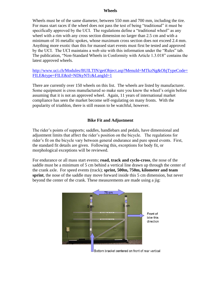#### **Wheels**

Wheels must be of the same diameter, between 550 mm and 700 mm, including the tire. For mass start races if the wheel does not pass the test of being "traditional" it must be specifically approved by the UCI. The regulations define a "traditional wheel" as any wheel with a rim with any cross section dimension no larger than 2.5 cm and with a minimum of 16 metallic spokes, whose maximum cross section does not exceed 2.4 mm. Anything more exotic than this for massed start events must first be tested and approved by the UCI. The UCI maintains a web site with this information under the "Rules" tab. The publication, "Non-Standard Wheels in Conformity with Article 1.3.018" contains the latest approved wheels.

[http://www.uci.ch/Modules/BUILTIN/getObject.asp?MenuId=MTkzNg&ObjTypeCode=](http://www.uci.ch/Modules/BUILTIN/getObject.asp?MenuId=MTkzNg&ObjTypeCode=FILE&type=FILE&id=NDkyNTc&LangId=1) [FILE&type=FILE&id=NDkyNTc&LangId=1](http://www.uci.ch/Modules/BUILTIN/getObject.asp?MenuId=MTkzNg&ObjTypeCode=FILE&type=FILE&id=NDkyNTc&LangId=1)

There are currently over 150 wheels on this list. The wheels are listed by manufacturer. Some equipment is cross manufactured so make sure you know the wheel's origin before assuming that it is not an approved wheel. Again, 11 years of international market compliance has seen the market become self-regulating on many fronts. With the popularity of triathlon, there is still reason to be watchful, however.

# **Bike Fit and Adjustment**

The rider's points of supports; saddles, handlebars and pedals, have dimensional and adjustment limits that affect the rider's position on the bicycle. The regulations for rider's fit on the bicycle vary between general endurance and pure speed events. First, the standard fit details are given. Following this, exceptions for body fit, or morphological exceptions will be reviewed.

For endurance or all mass start events; **road, track and cyclo-cross**, the nose of the saddle must be a minimum of 5 cm behind a vertical line drawn up through the center of the crank axle. For speed events (track); **sprint, 500m, 750m, kilometer and team**  sprint, the nose of the saddle may move forward inside this 5 cm dimension, but never beyond the center of the crank. These measurements are made using a jig:



Bottom bracket centered on front of rear vertical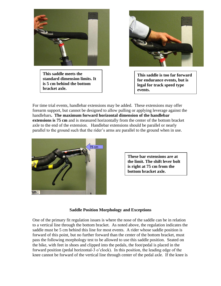

**This saddle meets the standard dimension limits. It is 5 cm behind the bottom bracket axle.**



**This saddle is too far forward for endurance events, but is legal for track speed type events.**

For time trial events, handlebar extensions may be added. These extensions may offer forearm support, but cannot be designed to allow pulling or applying leverage against the handlebars**. The maximum forward horizontal dimension of the handlebar extensions is 75 cm** and is measured horizontally from the center of the bottom bracket axle to the end of the extension. Handlebar extensions should be parallel or nearly parallel to the ground such that the rider's arms are parallel to the ground when in use.



**These bar extensions are at the limit. The shift lever bolt is right at 75 cm from the bottom bracket axle.**

#### **Saddle Position Morphology and Exceptions**

One of the primary fit regulation issues is where the nose of the saddle can be in relation to a vertical line through the bottom bracket. As noted above, the regulation indicates the saddle must be 5 cm behind this line for most events. A rider whose saddle position is forward of this point, but no further forward than the center of the bottom bracket, must pass the following morphology test to be allowed to use this saddle position. Seated on the bike, with feet in shoes and clipped into the pedals, the foot/pedal is placed in the forward position (pedal horizontal-3 o'clock). In this position, the leading edge of the knee cannot be forward of the vertical line through center of the pedal axle. If the knee is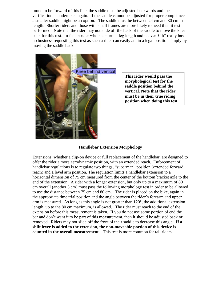found to be forward of this line, the saddle must be adjusted backwards and the verification is undertaken again. If the saddle cannot be adjusted for proper compliance, a smaller saddle might be an option. The saddle must be between 24 cm and 30 cm in length. Shorter riders and those with small frames are more likely to need this fit test performed. Note that the rider may not slide off the back of the saddle to move the knee back for this test. In fact, a rider who has normal leg length and is over 5' 6" really has no business requesting this test as such a rider can easily attain a legal position simply by moving the saddle back.



**This rider would pass the morphological test for the saddle position behind the vertical. Note that the rider must be in their true riding position when doing this test.**

## **Handlebar Extension Morphology**

Extensions, whether a clip-on device or full replacement of the handlebar, are designed to offer the rider a more aerodynamic position, with an extended reach. Enforcement of handlebar regulations is to regulate two things; "superman" position (extended forward reach) and a level arm position. The regulation limits a handlebar extension to a horizontal dimension of 75 cm measured from the center of the bottom bracket axle to the end of the extension. A rider with a longer extension, but only up to a maximum of 80 cm overall (another 5 cm) must pass the following morphology test in order to be allowed to use the distance between 75 cm and 80 cm. The rider is placed on the bike, again in the appropriate time trial position and the angle between the rider's forearm and upper arm is measured. As long as this angle is not greater than 120°, the additional extension length, up to the 80 cm maximum, is allowed. The rider must reach to the end of the extension before this measurement is taken. If you do not use some portion of end the bar and don't want it to be part of this measurement, then it should be adjusted back or removed. Riders may not slide off the front of their saddle to decrease this angle. **If a shift lever is added to the extension, the non-moveable portion of this device is counted in the overall measurement.** This test is more common for tall riders.